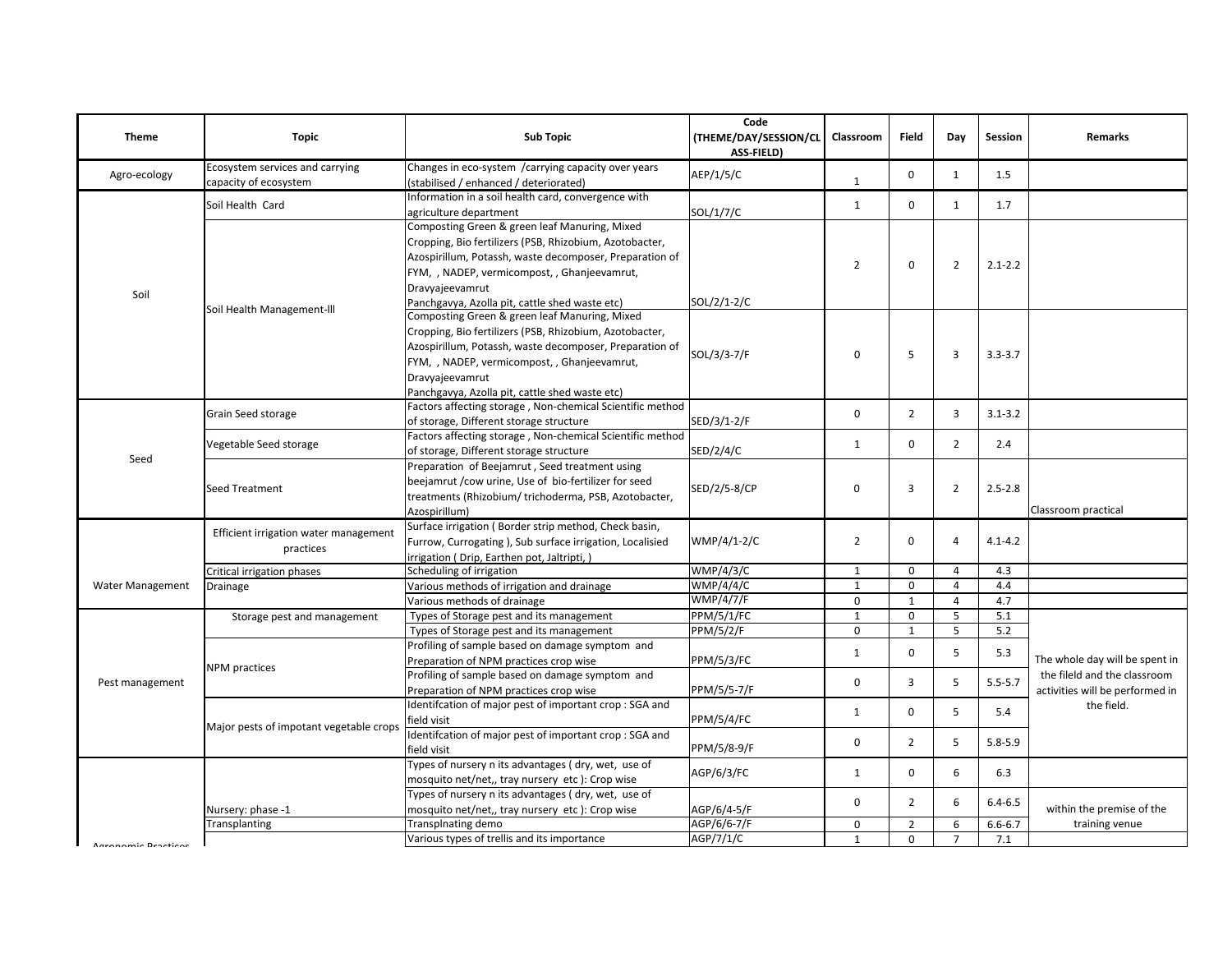| <b>Theme</b>        | <b>Topic</b>                                             | <b>Sub Topic</b>                                                                               | Code<br>(THEME/DAY/SESSION/CL<br>ASS-FIELD) | Classroom      | <b>Field</b>   | Day                                     | Session     | <b>Remarks</b>                  |
|---------------------|----------------------------------------------------------|------------------------------------------------------------------------------------------------|---------------------------------------------|----------------|----------------|-----------------------------------------|-------------|---------------------------------|
| Agro-ecology        | Ecosystem services and carrying<br>capacity of ecosystem | Changes in eco-system / carrying capacity over years<br>(stabilised / enhanced / deteriorated) | AEP/1/5/C                                   | $\mathbf{1}$   | $\mathbf 0$    | $\mathbf{1}$                            | 1.5         |                                 |
|                     | Soil Health Card                                         | Information in a soil health card, convergence with                                            |                                             | 1              | $\mathbf 0$    | $\mathbf{1}$                            | 1.7         |                                 |
|                     |                                                          | agriculture department                                                                         | SOL/1/7/C                                   |                |                |                                         |             |                                 |
|                     |                                                          | Composting Green & green leaf Manuring, Mixed                                                  |                                             | $\overline{2}$ |                |                                         |             |                                 |
|                     |                                                          | Cropping, Bio fertilizers (PSB, Rhizobium, Azotobacter,                                        |                                             |                | $\mathbf 0$    | $\overline{2}$                          | $2.1 - 2.2$ |                                 |
|                     |                                                          | Azospirillum, Potassh, waste decomposer, Preparation of                                        |                                             |                |                |                                         |             |                                 |
|                     |                                                          | FYM, , NADEP, vermicompost, , Ghanjeevamrut,                                                   |                                             |                |                |                                         |             |                                 |
| Soil                |                                                          | Dravyajeevamrut                                                                                |                                             |                |                |                                         |             |                                 |
|                     | Soil Health Management-III                               | Panchgavya, Azolla pit, cattle shed waste etc)                                                 | SOL/2/1-2/C                                 |                |                |                                         |             |                                 |
|                     |                                                          | Composting Green & green leaf Manuring, Mixed                                                  |                                             |                |                |                                         |             |                                 |
|                     |                                                          | Cropping, Bio fertilizers (PSB, Rhizobium, Azotobacter,                                        |                                             | 0              | 5              | 3                                       | $3.3 - 3.7$ |                                 |
|                     |                                                          | Azospirillum, Potassh, waste decomposer, Preparation of                                        | SOL/3/3-7/F                                 |                |                |                                         |             |                                 |
|                     |                                                          | FYM, , NADEP, vermicompost, , Ghanjeevamrut,                                                   |                                             |                |                |                                         |             |                                 |
|                     |                                                          | Dravyajeevamrut                                                                                |                                             |                |                |                                         |             |                                 |
|                     |                                                          | Panchgavya, Azolla pit, cattle shed waste etc)                                                 |                                             |                |                |                                         |             |                                 |
|                     | Grain Seed storage                                       | Factors affecting storage, Non-chemical Scientific method                                      |                                             | $\mathbf 0$    | $\overline{2}$ | $\overline{3}$                          | $3.1 - 3.2$ |                                 |
|                     |                                                          | of storage, Different storage structure                                                        | SED/3/1-2/F                                 |                |                |                                         |             |                                 |
|                     | Vegetable Seed storage                                   | Factors affecting storage, Non-chemical Scientific method                                      |                                             | $\mathbf{1}$   | $\mathbf 0$    | $\overline{2}$                          | 2.4         |                                 |
|                     |                                                          | of storage, Different storage structure                                                        | SED/2/4/C                                   |                |                |                                         |             |                                 |
| Seed                | <b>Seed Treatment</b>                                    | Preparation of Beejamrut, Seed treatment using                                                 |                                             |                |                |                                         |             |                                 |
|                     |                                                          | beejamrut /cow urine, Use of bio-fertilizer for seed                                           |                                             | 0              | 3              | $\overline{2}$                          | $2.5 - 2.8$ |                                 |
|                     |                                                          | treatments (Rhizobium/trichoderma, PSB, Azotobacter,                                           | SED/2/5-8/CP                                |                |                |                                         |             |                                 |
|                     |                                                          | Azospirillum)                                                                                  |                                             |                |                |                                         |             | Classroom practical             |
|                     | Efficient irrigation water management<br>practices       | Surface irrigation (Border strip method, Check basin,                                          |                                             |                |                |                                         |             |                                 |
|                     |                                                          | Furrow, Currogating ), Sub surface irrigation, Localisied                                      | WMP/4/1-2/C                                 | $\overline{2}$ | $\mathbf 0$    | 4                                       | $4.1 - 4.2$ |                                 |
|                     |                                                          | irrigation (Drip, Earthen pot, Jaltripti,)                                                     |                                             |                |                |                                         |             |                                 |
|                     | Critical irrigation phases                               | Scheduling of irrigation                                                                       | <b>WMP/4/3/C</b>                            | $\mathbf{1}$   | 0              | $\overline{4}$                          | 4.3         |                                 |
| Water Management    | Drainage                                                 | Various methods of irrigation and drainage                                                     | <b>WMP/4/4/C</b>                            | $\mathbf{1}$   | $\mathbf 0$    | $\overline{4}$                          | 4.4         |                                 |
|                     |                                                          | Various methods of drainage                                                                    | <b>WMP/4/7/F</b>                            | $\mathbf 0$    | $\mathbf{1}$   | $\overline{4}$                          | 4.7         |                                 |
|                     | Storage pest and management                              | Types of Storage pest and its management                                                       | <b>PPM/5/1/FC</b>                           | $\mathbf{1}$   | 0              | 5                                       | 5.1         |                                 |
|                     |                                                          | Types of Storage pest and its management                                                       | <b>PPM/5/2/F</b>                            | $\mathbf 0$    | $\mathbf{1}$   | 5                                       | 5.2         |                                 |
|                     |                                                          | Profiling of sample based on damage symptom and                                                |                                             |                | $\Omega$       | 5                                       |             |                                 |
|                     | <b>NPM</b> practices                                     | Preparation of NPM practices crop wise                                                         | <b>PPM/5/3/FC</b>                           | 1              |                |                                         | 5.3         | The whole day will be spent in  |
|                     |                                                          | Profiling of sample based on damage symptom and                                                |                                             |                |                |                                         |             | the fileld and the classroom    |
| Pest management     |                                                          | Preparation of NPM practices crop wise                                                         | PPM/5/5-7/F                                 | $\mathbf 0$    | $\overline{3}$ | 5                                       | $5.5 - 5.7$ | activities will be performed in |
|                     | Major pests of impotant vegetable crops                  | Identifcation of major pest of important crop : SGA and                                        |                                             | 1              | $\mathbf 0$    | 5                                       | 5.4         | the field.                      |
|                     |                                                          | field visit                                                                                    | <b>PPM/5/4/FC</b>                           |                |                |                                         |             |                                 |
|                     |                                                          | Identifcation of major pest of important crop : SGA and                                        |                                             | $\mathbf 0$    | $\overline{2}$ | 5                                       | $5.8 - 5.9$ |                                 |
|                     |                                                          | field visit                                                                                    | PPM/5/8-9/F                                 |                |                |                                         |             |                                 |
|                     |                                                          | Types of nursery n its advantages (dry, wet, use of                                            |                                             |                |                | 6<br>$\mathbf 0$<br>$\overline{2}$<br>6 |             |                                 |
|                     |                                                          | mosquito net/net,, tray nursery etc): Crop wise                                                | AGP/6/3/FC                                  | 1              |                |                                         | 6.3         |                                 |
|                     |                                                          | Types of nursery n its advantages (dry, wet, use of                                            |                                             |                |                |                                         |             |                                 |
|                     | Nursery: phase -1                                        | mosquito net/net,, tray nursery etc): Crop wise                                                | AGP/6/4-5/F                                 | $\mathbf 0$    |                |                                         | $6.4 - 6.5$ | within the premise of the       |
|                     | Transplanting                                            | Transplnating demo                                                                             | AGP/6/6-7/F                                 | 0              | $\overline{2}$ | 6                                       | $6.6 - 6.7$ | training venue                  |
| Agronomic Dracticos |                                                          | Various types of trellis and its importance                                                    | AGP/7/1/C                                   | $\mathbf{1}$   | $\mathbf{0}$   | $\overline{7}$                          | 7.1         |                                 |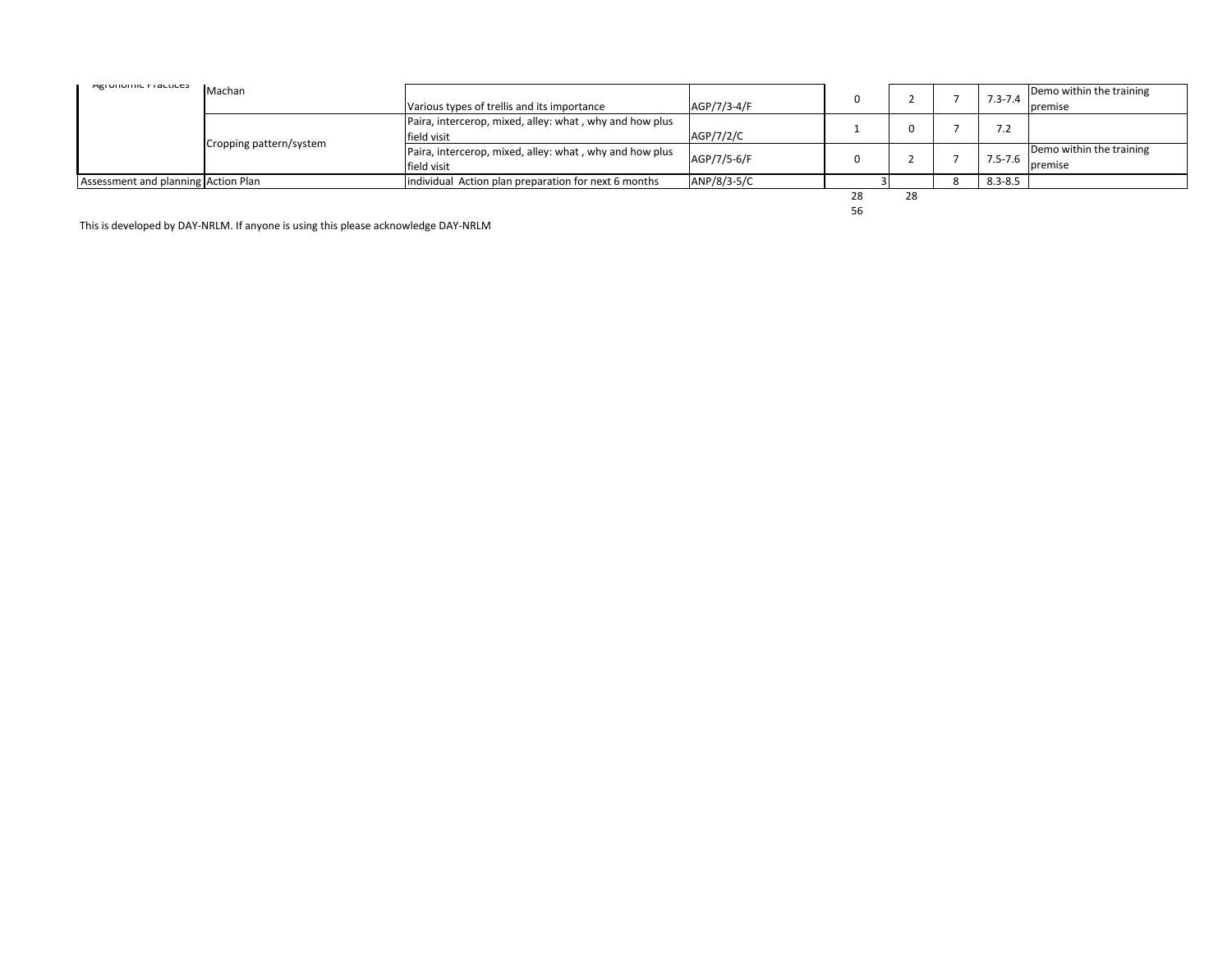| <b>MEI UIIUIIIIL FI ALLILES</b>     | Machan                  | Various types of trellis and its importance                            | AGP/7/3-4/F |          |    | $7.3 - 7.4$                     | Demo within the training<br>premise |
|-------------------------------------|-------------------------|------------------------------------------------------------------------|-------------|----------|----|---------------------------------|-------------------------------------|
|                                     | Cropping pattern/system | Paira, intercerop, mixed, alley: what, why and how plus<br>field visit | AGP/7/2/C   |          |    | $\overline{1}$ . $\overline{2}$ |                                     |
|                                     |                         | Paira, intercerop, mixed, alley: what, why and how plus<br>field visit | AGP/7/5-6/F |          |    | $7.5 - 7.6$                     | Demo within the training<br>premise |
| Assessment and planning Action Plan |                         | individual Action plan preparation for next 6 months                   | ANP/8/3-5/C |          |    | $8.3 - 8.5$                     |                                     |
|                                     |                         |                                                                        |             | 28<br>56 | 28 |                                 |                                     |

56

This is developed by DAY-NRLM. If anyone is using this please acknowledge DAY-NRLM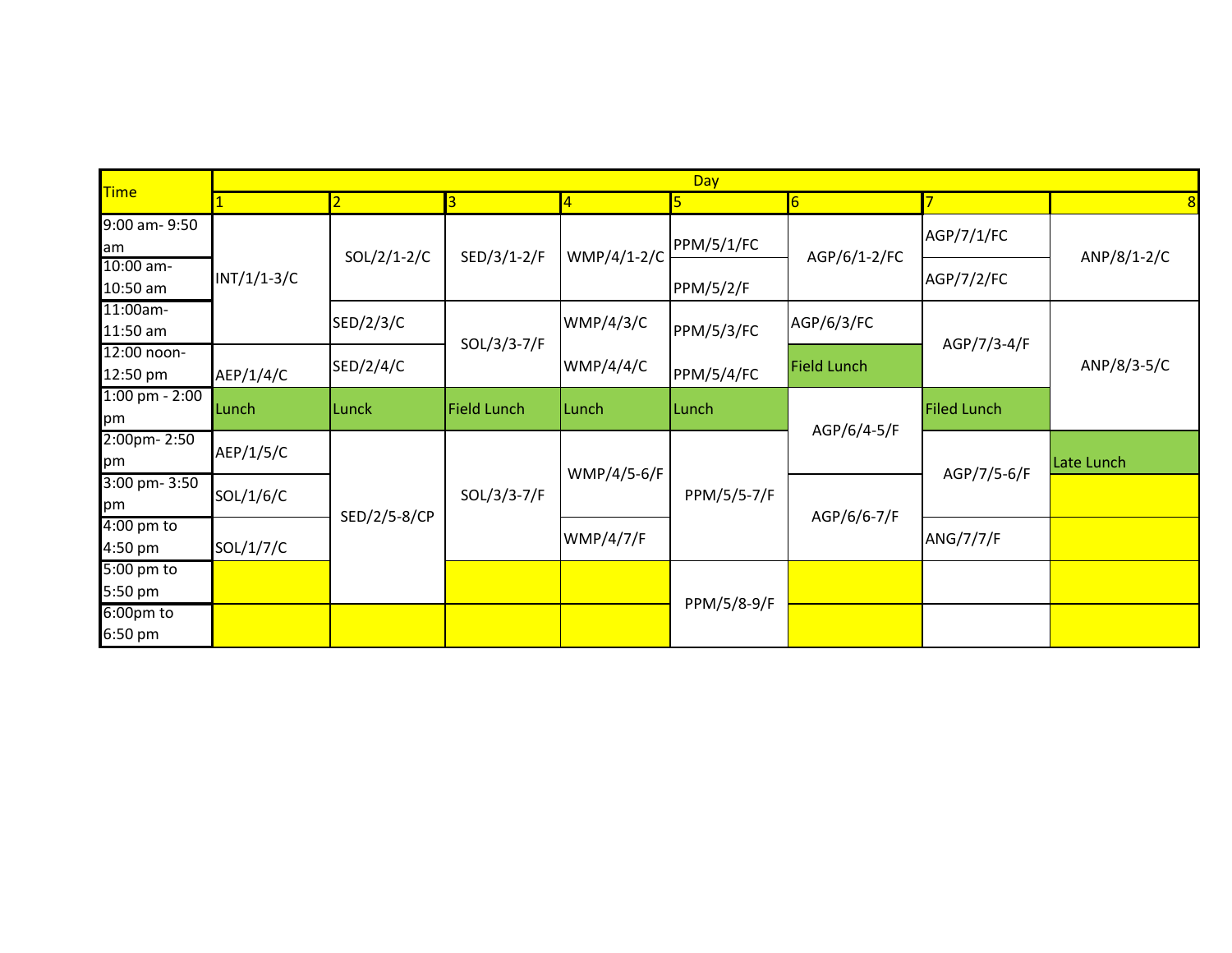| <b>Time</b>                     | Day           |               |                                |                  |                  |                    |                    |             |  |  |
|---------------------------------|---------------|---------------|--------------------------------|------------------|------------------|--------------------|--------------------|-------------|--|--|
|                                 |               | <u>2</u>      | 3                              | $\overline{4}$   |                  | $6\overline{6}$    |                    | 8           |  |  |
| 9:00 am- 9:50<br>am             |               | $SOL/2/1-2/C$ | SED/3/1-2/F                    | WMP/4/1-2/C      | PPM/5/1/FC       |                    | AGP/7/1/FC         |             |  |  |
| 10:00 am-<br>10:50 am           | $INT/1/1-3/C$ |               |                                |                  | <b>PPM/5/2/F</b> | AGP/6/1-2/FC       | AGP/7/2/FC         | ANP/8/1-2/C |  |  |
| 11:00am-<br>11:50 am            |               | SED/2/3/C     | <b>WMP/4/3/C</b><br>PPM/5/3/FC |                  | AGP/6/3/FC       | AGP/7/3-4/F        |                    |             |  |  |
| 12:00 noon-<br>12:50 pm         | AEP/1/4/C     | SED/2/4/C     | SOL/3/3-7/F                    | WWP/4/4/C        | PPM/5/4/FC       | <b>Field Lunch</b> |                    | ANP/8/3-5/C |  |  |
| $1:00$ pm - $2:00$<br>pm        | Lunch         | Lunck         | <b>Field Lunch</b>             | Lunch            | Lunch            |                    | <b>Filed Lunch</b> |             |  |  |
| 2:00pm-2:50<br>pm               | AEP/1/5/C     |               |                                | WMP/4/5-6/F      |                  | AGP/6/4-5/F        | AGP/7/5-6/F        | Late Lunch  |  |  |
| 3:00 pm- 3:50<br>pm             | SOL/1/6/C     | SED/2/5-8/CP  | SOL/3/3-7/F                    |                  | PPM/5/5-7/F      | AGP/6/6-7/F        |                    |             |  |  |
| $4:00 \text{ pm}$ to<br>4:50 pm | SOL/1/7/C     |               |                                | <b>WMP/4/7/F</b> |                  |                    | ANG/7/7/F          |             |  |  |
| $5:00 \text{ pm}$ to<br>5:50 pm |               |               |                                |                  |                  |                    |                    |             |  |  |
| 6:00pm to<br>6:50 pm            |               |               |                                |                  | PPM/5/8-9/F      |                    |                    |             |  |  |